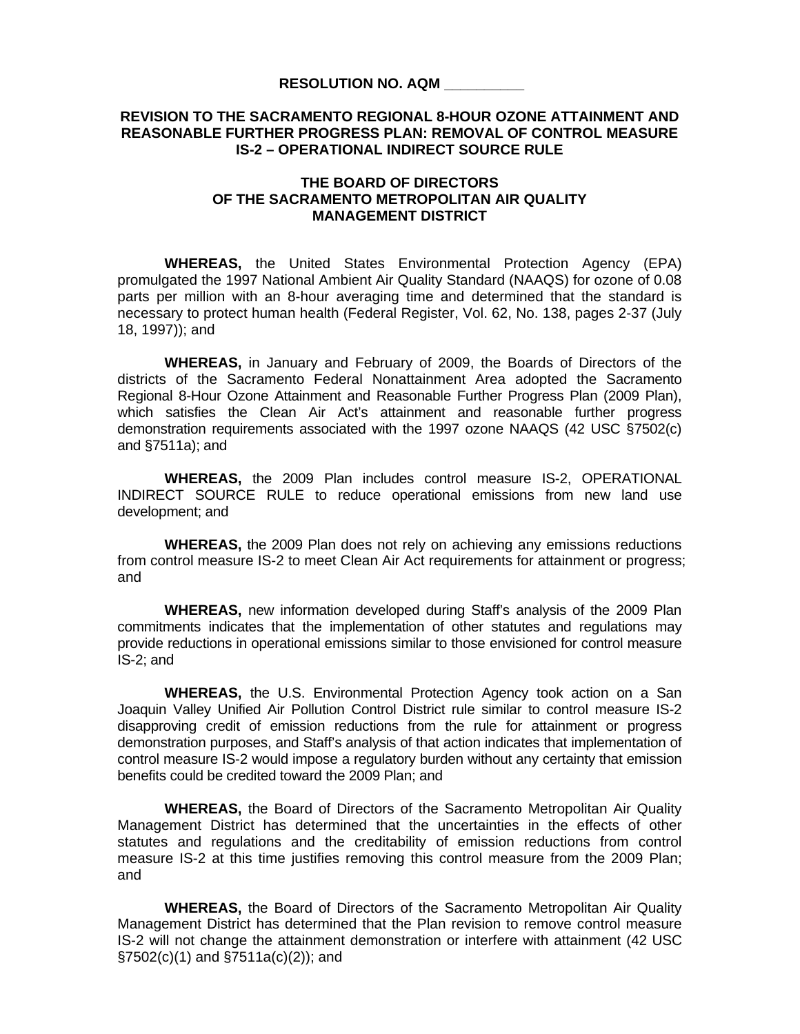## **REVISION TO THE SACRAMENTO REGIONAL 8-HOUR OZONE ATTAINMENT AND REASONABLE FURTHER PROGRESS PLAN: REMOVAL OF CONTROL MEASURE IS-2 – OPERATIONAL INDIRECT SOURCE RULE**

## **THE BOARD OF DIRECTORS OF THE SACRAMENTO METROPOLITAN AIR QUALITY MANAGEMENT DISTRICT**

**WHEREAS,** the United States Environmental Protection Agency (EPA) promulgated the 1997 National Ambient Air Quality Standard (NAAQS) for ozone of 0.08 parts per million with an 8-hour averaging time and determined that the standard is necessary to protect human health (Federal Register, Vol. 62, No. 138, pages 2-37 (July 18, 1997)); and

**WHEREAS,** in January and February of 2009, the Boards of Directors of the districts of the Sacramento Federal Nonattainment Area adopted the Sacramento Regional 8-Hour Ozone Attainment and Reasonable Further Progress Plan (2009 Plan), which satisfies the Clean Air Act's attainment and reasonable further progress demonstration requirements associated with the 1997 ozone NAAQS (42 USC §7502(c) and §7511a); and

 **WHEREAS,** the 2009 Plan includes control measure IS-2, OPERATIONAL INDIRECT SOURCE RULE to reduce operational emissions from new land use development; and

 **WHEREAS,** the 2009 Plan does not rely on achieving any emissions reductions from control measure IS-2 to meet Clean Air Act requirements for attainment or progress; and

**WHEREAS,** new information developed during Staff's analysis of the 2009 Plan commitments indicates that the implementation of other statutes and regulations may provide reductions in operational emissions similar to those envisioned for control measure IS-2; and

**WHEREAS,** the U.S. Environmental Protection Agency took action on a San Joaquin Valley Unified Air Pollution Control District rule similar to control measure IS-2 disapproving credit of emission reductions from the rule for attainment or progress demonstration purposes, and Staff's analysis of that action indicates that implementation of control measure IS-2 would impose a regulatory burden without any certainty that emission benefits could be credited toward the 2009 Plan; and

**WHEREAS,** the Board of Directors of the Sacramento Metropolitan Air Quality Management District has determined that the uncertainties in the effects of other statutes and regulations and the creditability of emission reductions from control measure IS-2 at this time justifies removing this control measure from the 2009 Plan; and

**WHEREAS,** the Board of Directors of the Sacramento Metropolitan Air Quality Management District has determined that the Plan revision to remove control measure IS-2 will not change the attainment demonstration or interfere with attainment (42 USC §7502(c)(1) and §7511a(c)(2)); and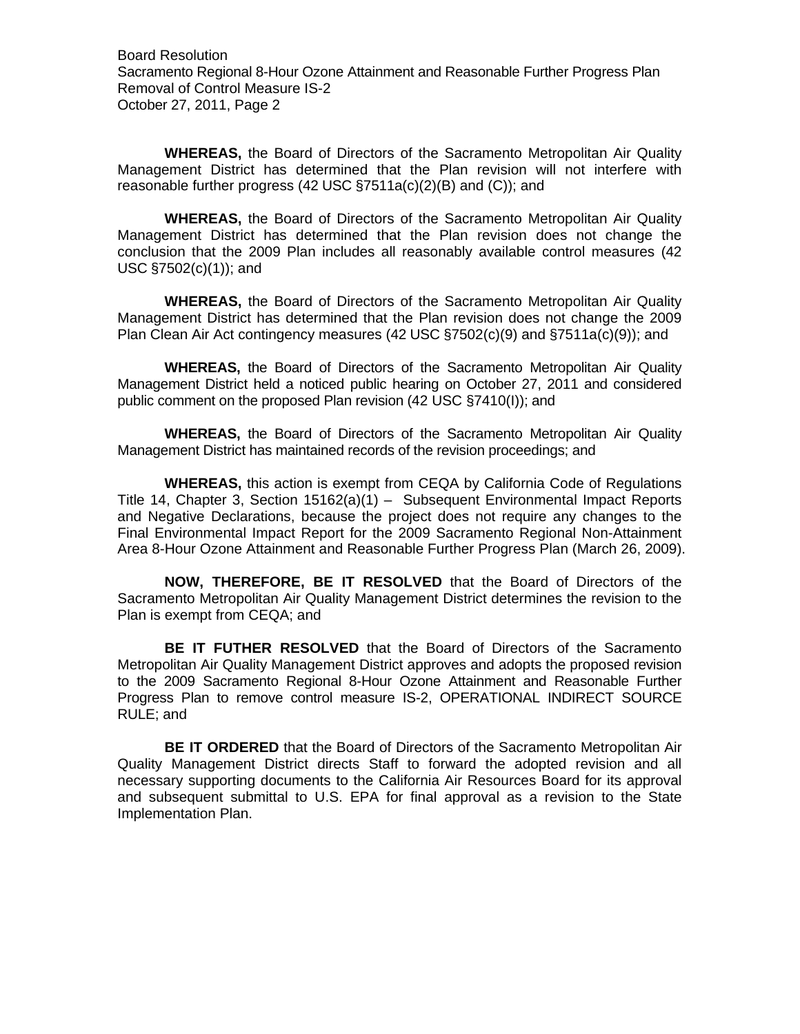Board Resolution Sacramento Regional 8-Hour Ozone Attainment and Reasonable Further Progress Plan Removal of Control Measure IS-2 October 27, 2011, Page 2

**WHEREAS,** the Board of Directors of the Sacramento Metropolitan Air Quality Management District has determined that the Plan revision will not interfere with reasonable further progress (42 USC §7511a(c)(2)(B) and (C)); and

**WHEREAS,** the Board of Directors of the Sacramento Metropolitan Air Quality Management District has determined that the Plan revision does not change the conclusion that the 2009 Plan includes all reasonably available control measures (42 USC §7502(c)(1)); and

**WHEREAS,** the Board of Directors of the Sacramento Metropolitan Air Quality Management District has determined that the Plan revision does not change the 2009 Plan Clean Air Act contingency measures (42 USC §7502(c)(9) and §7511a(c)(9)); and

**WHEREAS,** the Board of Directors of the Sacramento Metropolitan Air Quality Management District held a noticed public hearing on October 27, 2011 and considered public comment on the proposed Plan revision (42 USC §7410(I)); and

**WHEREAS,** the Board of Directors of the Sacramento Metropolitan Air Quality Management District has maintained records of the revision proceedings; and

**WHEREAS,** this action is exempt from CEQA by California Code of Regulations Title 14, Chapter 3, Section 15162(a)(1) – Subsequent Environmental Impact Reports and Negative Declarations, because the project does not require any changes to the Final Environmental Impact Report for the 2009 Sacramento Regional Non-Attainment Area 8-Hour Ozone Attainment and Reasonable Further Progress Plan (March 26, 2009).

**NOW, THEREFORE, BE IT RESOLVED** that the Board of Directors of the Sacramento Metropolitan Air Quality Management District determines the revision to the Plan is exempt from CEQA; and

**BE IT FUTHER RESOLVED** that the Board of Directors of the Sacramento Metropolitan Air Quality Management District approves and adopts the proposed revision to the 2009 Sacramento Regional 8-Hour Ozone Attainment and Reasonable Further Progress Plan to remove control measure IS-2, OPERATIONAL INDIRECT SOURCE RULE; and

**BE IT ORDERED** that the Board of Directors of the Sacramento Metropolitan Air Quality Management District directs Staff to forward the adopted revision and all necessary supporting documents to the California Air Resources Board for its approval and subsequent submittal to U.S. EPA for final approval as a revision to the State Implementation Plan.